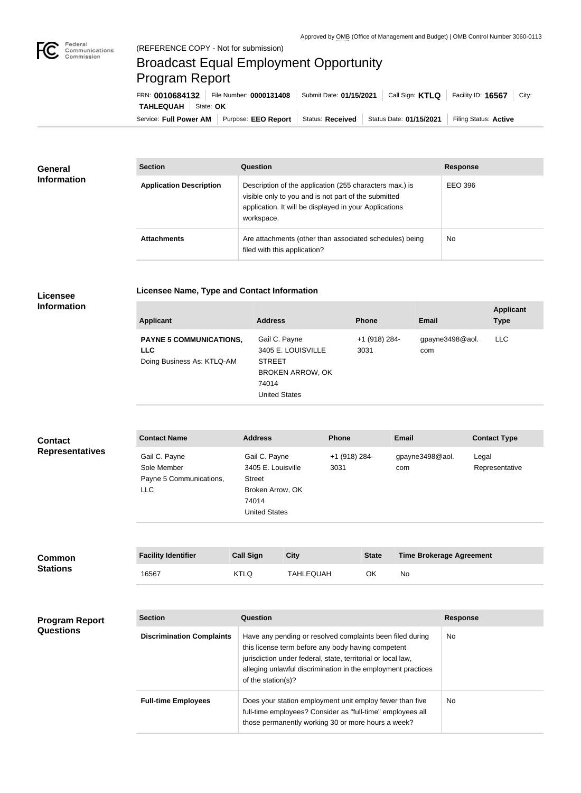

## Broadcast Equal Employment Opportunity Program Report

**Licensee Name, Type and Contact Information**

Service: Full Power AM | Purpose: EEO Report | Status: Received | Status Date: 01/15/2021 | Filing Status: Active **TAHLEQUAH** State: OK FRN: **0010684132** File Number: **0000131408** Submit Date: **01/15/2021** Call Sign: **KTLQ** Facility ID: **16567** City:

| <b>General</b><br><b>Information</b> | <b>Section</b>                 | <b>Question</b>                                                                                                                                                                         | <b>Response</b> |
|--------------------------------------|--------------------------------|-----------------------------------------------------------------------------------------------------------------------------------------------------------------------------------------|-----------------|
|                                      | <b>Application Description</b> | Description of the application (255 characters max.) is<br>visible only to you and is not part of the submitted<br>application. It will be displayed in your Applications<br>workspace. | EEO 396         |
|                                      | <b>Attachments</b>             | Are attachments (other than associated schedules) being<br>filed with this application?                                                                                                 | <b>No</b>       |

## **Licensee Information**

| <b>Applicant</b>                                                           | <b>Address</b>                                                                                                   | <b>Phone</b>          | Email                  | <b>Applicant</b><br><b>Type</b> |
|----------------------------------------------------------------------------|------------------------------------------------------------------------------------------------------------------|-----------------------|------------------------|---------------------------------|
| <b>PAYNE 5 COMMUNICATIONS,</b><br><b>LLC</b><br>Doing Business As: KTLQ-AM | Gail C. Payne<br>3405 E. LOUISVILLE<br><b>STREET</b><br><b>BROKEN ARROW, OK</b><br>74014<br><b>United States</b> | +1 (918) 284-<br>3031 | gpayne3498@aol.<br>com | <b>LLC</b>                      |

| <b>Contact</b><br><b>Representatives</b> | <b>Contact Name</b>                                            | <b>Address</b>                                                                                            | <b>Phone</b>          | Email                  | <b>Contact Type</b>     |
|------------------------------------------|----------------------------------------------------------------|-----------------------------------------------------------------------------------------------------------|-----------------------|------------------------|-------------------------|
|                                          | Gail C. Payne<br>Sole Member<br>Payne 5 Communications,<br>LLC | Gail C. Payne<br>3405 E. Louisville<br><b>Street</b><br>Broken Arrow, OK<br>74014<br><b>United States</b> | +1 (918) 284-<br>3031 | gpayne3498@aol.<br>com | Legal<br>Representative |
|                                          |                                                                |                                                                                                           |                       |                        |                         |

| Common<br><b>Stations</b> | <b>Facility Identifier</b> | <b>Call Sign</b> | <b>City</b>      | <b>State</b> | <b>Time Brokerage Agreement</b> |
|---------------------------|----------------------------|------------------|------------------|--------------|---------------------------------|
|                           | 16567                      | KTLQ             | <b>TAHLEQUAH</b> | ΟK           | No                              |

| <b>Program Report</b><br><b>Questions</b> | <b>Section</b>                   | Question                                                                                                                                                                                                                                                              | <b>Response</b> |
|-------------------------------------------|----------------------------------|-----------------------------------------------------------------------------------------------------------------------------------------------------------------------------------------------------------------------------------------------------------------------|-----------------|
|                                           | <b>Discrimination Complaints</b> | Have any pending or resolved complaints been filed during<br>this license term before any body having competent<br>jurisdiction under federal, state, territorial or local law,<br>alleging unlawful discrimination in the employment practices<br>of the station(s)? | <b>No</b>       |
|                                           | <b>Full-time Employees</b>       | Does your station employment unit employ fewer than five<br>full-time employees? Consider as "full-time" employees all<br>those permanently working 30 or more hours a week?                                                                                          | No.             |